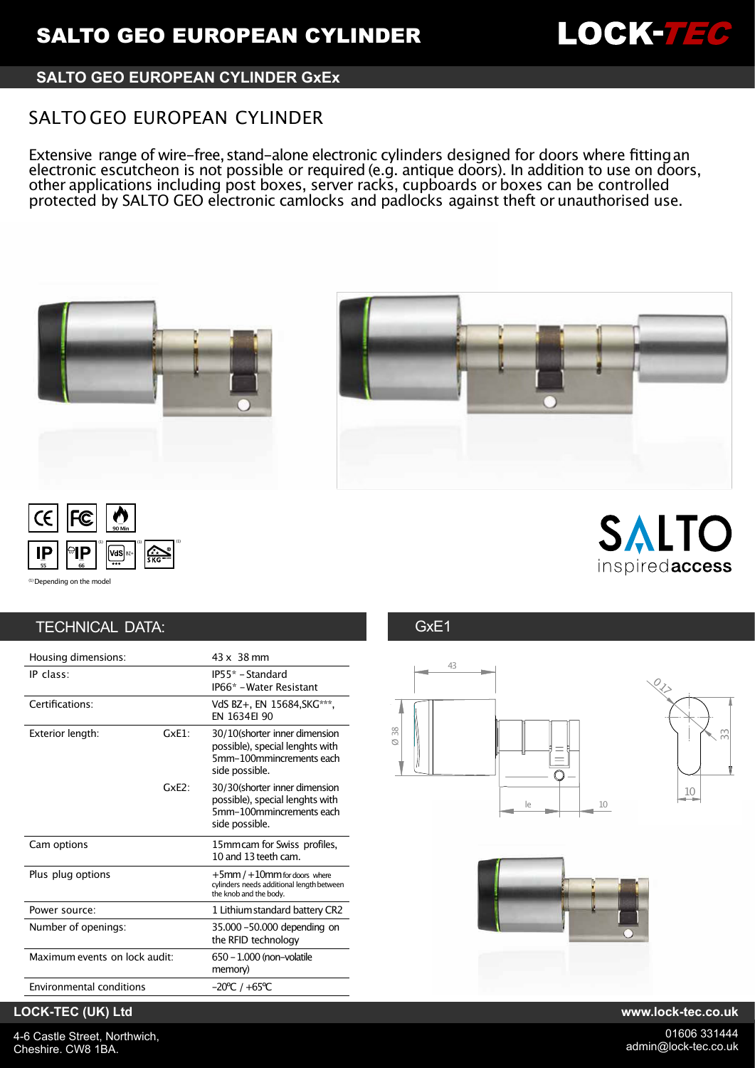

## **SALTO GEO EUROPEAN CYLINDER GxEx**

# SALTO GEO EUROPEAN CYLINDER

Extensive range of wire-free, stand-alone electronic cylinders designed for doors where fitting an electronic escutcheon is not possible or required (e.g. antique doors). In addition to use on doors, other applications including post boxes, server racks, cupboards or boxes can be controlled protected by SALTO GEO electronic camlocks and padlocks against theft or unauthorised use.







SALTC inspiredaccess

(1) Depending on the mode

# TECHNICAL DATA: GXE1

| Housing dimensions:             |      | 43 x 38 mm                                                                                                     |
|---------------------------------|------|----------------------------------------------------------------------------------------------------------------|
| IP class:                       |      | IP55* - Standard<br>IP66* - Water Resistant                                                                    |
| Certifications:                 |      | VdS BZ+, EN 15684, SKG***,<br>FN 1634FI 90                                                                     |
| Exterior length:                | GxF1 | 30/10(shorter inner dimension<br>possible), special lenghts with<br>5mm-100mmincrements each<br>side possible. |
|                                 | GxF2 | 30/30(shorter inner dimension<br>possible), special lenghts with<br>5mm-100mmincrements each<br>side possible. |
| Cam options                     |      | 15mm cam for Swiss profiles,<br>10 and 13 teeth cam.                                                           |
| Plus plug options               |      | $+5$ mm / $+10$ mm for doors where<br>cylinders needs additional length between<br>the knob and the body.      |
| Power source:                   |      | 1 Lithium standard battery CR2                                                                                 |
| Number of openings:             |      | 35.000 -50.000 depending on<br>the RFID technology                                                             |
| Maximum events on lock audit:   |      | 650 - 1.000 (non-volatile<br>memory)                                                                           |
| <b>Environmental conditions</b> |      | $-20^{\circ}$ C / $+65^{\circ}$ C                                                                              |





## **LOCK-TEC (UK) Ltd www.lock-tec.co.uk**

4-6 Castle Street, Northwich, Cheshire. CW8 1BA.

01606 331444 admin@lock-tec.co.uk